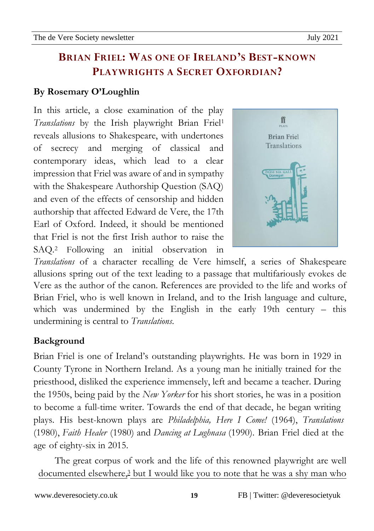#### **By Rosemary O'Loughlin**

In this article, a close examination of the play *Translations* by the Irish playwright Brian Friel<sup>1</sup> reveals allusions to Shakespeare, with undertones of secrecy and merging of classical and contemporary ideas, which lead to a clear impression that Friel was aware of and in sympathy with the Shakespeare Authorship Question (SAQ) and even of the effects of censorship and hidden authorship that affected Edward de Vere, the 17th Earl of Oxford. Indeed, it should be mentioned that Friel is not the first Irish author to raise the SAQ.<sup>2</sup> Following an initial observation in



*Translations* of a character recalling de Vere himself, a series of Shakespeare allusions spring out of the text leading to a passage that multifariously evokes de Vere as the author of the canon. References are provided to the life and works of Brian Friel, who is well known in Ireland, and to the Irish language and culture, which was undermined by the English in the early 19th century – this undermining is central to *Translations*.

#### **Background**

Brian Friel is one of Ireland's outstanding playwrights. He was born in 1929 in County Tyrone in Northern Ireland. As a young man he initially trained for the priesthood, disliked the experience immensely, left and became a teacher. During the 1950s, being paid by the *New Yorker* for his short stories, he was in a position to become a full-time writer. Towards the end of that decade, he began writing plays. His best-known plays are *Philadelphia, Here I Come!* (1964), *Translations*  (1980), *Faith Healer* (1980) and *Dancing at Lughnasa* (1990). Brian Friel died at the age of eighty-six in 2015.

The great corpus of work and the life of this renowned playwright are well documented elsewhere,<sup>3</sup> but I would like you to note that he was a shy man who

**19**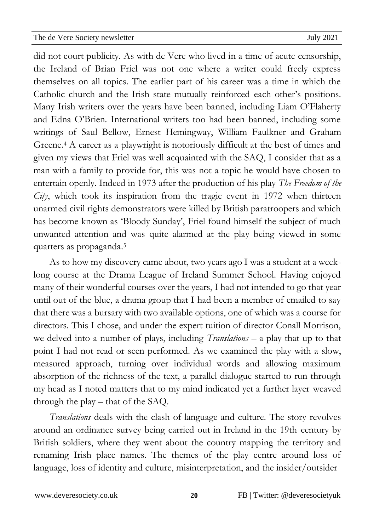02Apro did not court publicity. As with de Vere who lived in a time of acute censorship, newsletter the Ireland of Brian Friel was not one where a writer could freely express themselves on all topics. The earlier part of his career was a time in which the Catholic church and the Irish state mutually reinforced each other's positions. Many Irish writers over the years have been banned, including Liam O'Flaherty and Edna O'Brien. International writers too had been banned, including some writings of Saul Bellow, Ernest Hemingway, William Faulkner and Graham Greene. <sup>4</sup> A career as a playwright is notoriously difficult at the best of times and given my views that Friel was well acquainted with the SAQ, I consider that as a man with a family to provide for, this was not a topic he would have chosen to entertain openly. Indeed in 1973 after the production of his play *The Freedom of the City*, which took its inspiration from the tragic event in 1972 when thirteen unarmed civil rights demonstrators were killed by British paratroopers and which has become known as 'Bloody Sunday', Friel found himself the subject of much unwanted attention and was quite alarmed at the play being viewed in some quarters as propaganda. 5

As to how my discovery came about, two years ago I was a student at a weeklong course at the Drama League of Ireland Summer School. Having enjoyed many of their wonderful courses over the years, I had not intended to go that year until out of the blue, a drama group that I had been a member of emailed to say that there was a bursary with two available options, one of which was a course for directors. This I chose, and under the expert tuition of director Conall Morrison, we delved into a number of plays, including *Translations* – a play that up to that point I had not read or seen performed. As we examined the play with a slow, measured approach, turning over individual words and allowing maximum absorption of the richness of the text, a parallel dialogue started to run through my head as I noted matters that to my mind indicated yet a further layer weaved through the play – that of the SAQ.

*Translations* deals with the clash of language and culture. The story revolves around an ordinance survey being carried out in Ireland in the 19th century by British soldiers, where they went about the country mapping the territory and renaming Irish place names. The themes of the play centre around loss of language, loss of identity and culture, misinterpretation, and the insider/outsider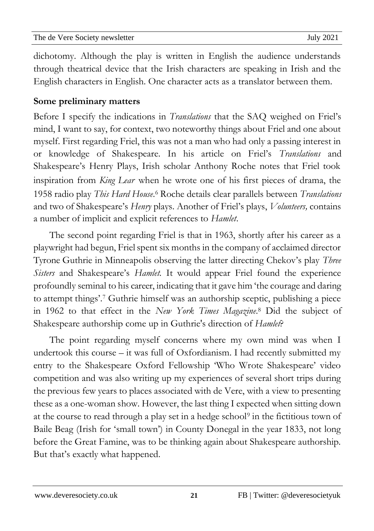02Apro dichotomy. Although the play is written in English the audience understands newsletter through theatrical device that the Irish characters are speaking in Irish and the English characters in English. One character acts as a translator between them.

#### **Some preliminary matters**

Before I specify the indications in *Translations* that the SAQ weighed on Friel's mind, I want to say, for context, two noteworthy things about Friel and one about myself. First regarding Friel, this was not a man who had only a passing interest in or knowledge of Shakespeare. In his article on Friel's *Translations* and Shakespeare's Henry Plays, Irish scholar Anthony Roche notes that Friel took inspiration from *King Lear* when he wrote one of his first pieces of drama, the 1958 radio play *This Hard House*. 6 Roche details clear parallels between *Translations*  and two of Shakespeare's *Henry* plays. Another of Friel's plays, *Volunteers,* contains a number of implicit and explicit references to *Hamlet*.

The second point regarding Friel is that in 1963, shortly after his career as a playwright had begun, Friel spent six months in the company of acclaimed director Tyrone Guthrie in Minneapolis observing the latter directing Chekov's play *Three Sisters* and Shakespeare's *Hamlet.* It would appear Friel found the experience profoundly seminal to his career, indicating that it gave him 'the courage and daring to attempt things'. 7 Guthrie himself was an authorship sceptic, publishing a piece in 1962 to that effect in the *New York Times Magazine*. <sup>8</sup> Did the subject of Shakespeare authorship come up in Guthrie's direction of *Hamlet*?

The point regarding myself concerns where my own mind was when I undertook this course – it was full of Oxfordianism. I had recently submitted my entry to the Shakespeare Oxford Fellowship 'Who Wrote Shakespeare' video competition and was also writing up my experiences of several short trips during the previous few years to places associated with de Vere, with a view to presenting these as a one-woman show. However, the last thing I expected when sitting down at the course to read through a play set in a hedge school<sup>9</sup> in the fictitious town of Baile Beag (Irish for 'small town') in County Donegal in the year 1833, not long before the Great Famine, was to be thinking again about Shakespeare authorship. But that's exactly what happened.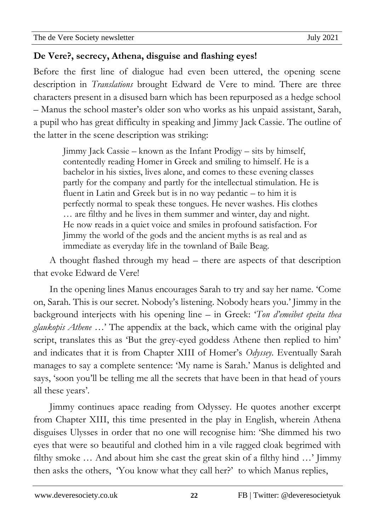02Apro

#### newsletter **De Vere?, secrecy, Athena, disguise and flashing eyes!**

Before the first line of dialogue had even been uttered, the opening scene description in *Translations* brought Edward de Vere to mind. There are three characters present in a disused barn which has been repurposed as a hedge school – Manus the school master's older son who works as his unpaid assistant, Sarah, a pupil who has great difficulty in speaking and Jimmy Jack Cassie. The outline of the latter in the scene description was striking:

Jimmy Jack Cassie – known as the Infant Prodigy – sits by himself, contentedly reading Homer in Greek and smiling to himself. He is a bachelor in his sixties, lives alone, and comes to these evening classes partly for the company and partly for the intellectual stimulation. He is fluent in Latin and Greek but is in no way pedantic – to him it is perfectly normal to speak these tongues. He never washes. His clothes … are filthy and he lives in them summer and winter, day and night. He now reads in a quiet voice and smiles in profound satisfaction. For Jimmy the world of the gods and the ancient myths is as real and as immediate as everyday life in the townland of Baile Beag.

A thought flashed through my head – there are aspects of that description that evoke Edward de Vere!

In the opening lines Manus encourages Sarah to try and say her name. 'Come on, Sarah. This is our secret. Nobody's listening. Nobody hears you.' Jimmy in the background interjects with his opening line – in Greek: '*Ton d'emeibet epeita thea glaukopis Athene* …' The appendix at the back, which came with the original play script, translates this as 'But the grey-eyed goddess Athene then replied to him' and indicates that it is from Chapter XIII of Homer's *Odyssey.* Eventually Sarah manages to say a complete sentence: 'My name is Sarah.' Manus is delighted and says, 'soon you'll be telling me all the secrets that have been in that head of yours all these years'*.*

Jimmy continues apace reading from Odyssey. He quotes another excerpt from Chapter XIII, this time presented in the play in English, wherein Athena disguises Ulysses in order that no one will recognise him: 'She dimmed his two eyes that were so beautiful and clothed him in a vile ragged cloak begrimed with filthy smoke … And about him she cast the great skin of a filthy hind …' Jimmy then asks the others, 'You know what they call her?' to which Manus replies,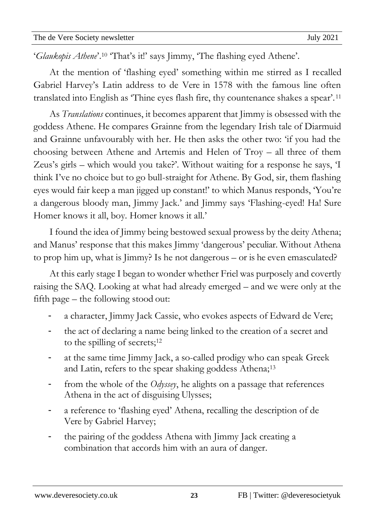02Apro 'Glaukopis Athene'.<sup>10</sup> 'That's it!' says Jimmy, 'The flashing eyed Athene'. newsletter

At the mention of 'flashing eyed' something within me stirred as I recalled Gabriel Harvey's Latin address to de Vere in 1578 with the famous line often translated into English as 'Thine eyes flash fire, thy countenance shakes a spear'.<sup>11</sup>

As *Translations* continues, it becomes apparent that Jimmy is obsessed with the goddess Athene. He compares Grainne from the legendary Irish tale of Diarmuid and Grainne unfavourably with her. He then asks the other two: 'if you had the choosing between Athene and Artemis and Helen of Troy – all three of them Zeus's girls – which would you take?'. Without waiting for a response he says, 'I think I've no choice but to go bull-straight for Athene. By God, sir, them flashing eyes would fair keep a man jigged up constant!' to which Manus responds, 'You're a dangerous bloody man, Jimmy Jack.' and Jimmy says 'Flashing-eyed! Ha! Sure Homer knows it all, boy. Homer knows it all.'

I found the idea of Jimmy being bestowed sexual prowess by the deity Athena; and Manus' response that this makes Jimmy 'dangerous' peculiar. Without Athena to prop him up, what is Jimmy? Is he not dangerous – or is he even emasculated?

At this early stage I began to wonder whether Friel was purposely and covertly raising the SAQ. Looking at what had already emerged – and we were only at the fifth page – the following stood out:

- a character, Jimmy Jack Cassie, who evokes aspects of Edward de Vere;
- the act of declaring a name being linked to the creation of a secret and to the spilling of secrets;<sup>12</sup>
- at the same time Jimmy Jack, a so-called prodigy who can speak Greek and Latin, refers to the spear shaking goddess Athena;<sup>13</sup>
- from the whole of the *Odyssey*, he alights on a passage that references Athena in the act of disguising Ulysses;
- a reference to 'flashing eyed' Athena, recalling the description of de Vere by Gabriel Harvey;
- the pairing of the goddess Athena with Jimmy Jack creating a combination that accords him with an aura of danger.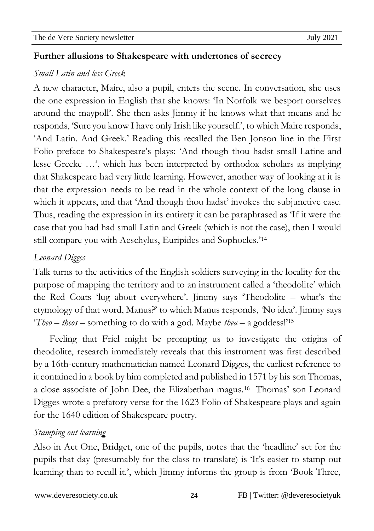#### 02Apro 0 **Further allusions to Shakespeare with undertones of secrecy** newsletter

#### *Small Latin and less Greek*

A new character, Maire, also a pupil, enters the scene. In conversation, she uses the one expression in English that she knows: 'In Norfolk we besport ourselves around the maypoll'. She then asks Jimmy if he knows what that means and he responds, 'Sure you knowI have only Irish like yourself.', to which Maire responds, 'And Latin. And Greek.' Reading this recalled the Ben Jonson line in the First Folio preface to Shakespeare's plays: 'And though thou hadst small Latine and lesse Greeke …', which has been interpreted by orthodox scholars as implying that Shakespeare had very little learning. However, another way of looking at it is that the expression needs to be read in the whole context of the long clause in which it appears, and that 'And though thou hadst' invokes the subjunctive case. Thus, reading the expression in its entirety it can be paraphrased as 'If it were the case that you had had small Latin and Greek (which is not the case), then I would still compare you with Aeschylus, Euripides and Sophocles.'<sup>14</sup>

## *Leonard Digges*

Talk turns to the activities of the English soldiers surveying in the locality for the purpose of mapping the territory and to an instrument called a 'theodolite' which the Red Coats 'lug about everywhere'. Jimmy says 'Theodolite – what's the etymology of that word, Manus?' to which Manus responds, *'*No idea'*.* Jimmy says '*Theo* – *theos* – something to do with a god. Maybe *thea* – a goddess!'<sup>15</sup>

Feeling that Friel might be prompting us to investigate the origins of theodolite, research immediately reveals that this instrument was first described by a 16th-century mathematician named Leonard Digges, the earliest reference to it contained in a book by him completed and published in 1571 by his son Thomas, a close associate of John Dee, the Elizabethan magus.<sup>16</sup> Thomas' son Leonard Digges wrote a prefatory verse for the 1623 Folio of Shakespeare plays and again for the 1640 edition of Shakespeare poetry.

## *Stamping out learning*

Also in Act One, Bridget, one of the pupils, notes that the 'headline' set for the pupils that day (presumably for the class to translate) is 'It's easier to stamp out learning than to recall it.', which Jimmy informs the group is from 'Book Three,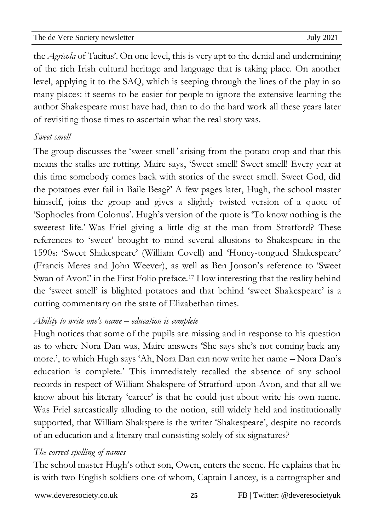02Apro the *Agricola* of Tacitus'. On one level, this is very apt to the denial and undermining newsletter of the rich Irish cultural heritage and language that is taking place. On another level, applying it to the SAQ, which is seeping through the lines of the play in so many places: it seems to be easier for people to ignore the extensive learning the author Shakespeare must have had, than to do the hard work all these years later of revisiting those times to ascertain what the real story was.

#### *Sweet smell*

The group discusses the 'sweet smell*'* arising from the potato crop and that this means the stalks are rotting. Maire says, 'Sweet smell! Sweet smell! Every year at this time somebody comes back with stories of the sweet smell. Sweet God, did the potatoes ever fail in Baile Beag?' A few pages later, Hugh, the school master himself, joins the group and gives a slightly twisted version of a quote of 'Sophocles from Colonus'. Hugh's version of the quote is 'To know nothing is the sweetest life.' Was Friel giving a little dig at the man from Stratford? These references to 'sweet' brought to mind several allusions to Shakespeare in the 1590s: 'Sweet Shakespeare' (William Covell) and 'Honey-tongued Shakespeare' (Francis Meres and John Weever), as well as Ben Jonson's reference to 'Sweet Swan of Avon!' in the First Folio preface.<sup>17</sup> How interesting that the reality behind the 'sweet smell' is blighted potatoes and that behind 'sweet Shakespeare' is a cutting commentary on the state of Elizabethan times.

#### *Ability to write one's name* – *education is complete*

Hugh notices that some of the pupils are missing and in response to his question as to where Nora Dan was, Maire answers 'She says she's not coming back any more.', to which Hugh says 'Ah, Nora Dan can now write her name – Nora Dan's education is complete*.*' This immediately recalled the absence of any school records in respect of William Shakspere of Stratford-upon-Avon, and that all we know about his literary 'career' is that he could just about write his own name. Was Friel sarcastically alluding to the notion, still widely held and institutionally supported, that William Shakspere is the writer 'Shakespeare', despite no records of an education and a literary trail consisting solely of six signatures?

#### *The correct spelling of names*

The school master Hugh's other son, Owen, enters the scene. He explains that he is with two English soldiers one of whom, Captain Lancey, is a cartographer and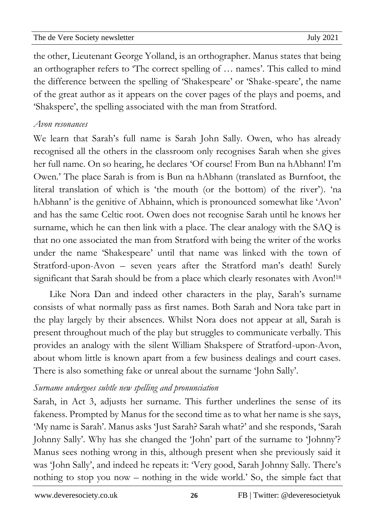02Apro the other, Lieutenant George Yolland, is an orthographer. Manus states that being newsletter an orthographer refers to 'The correct spelling of … names'. This called to mind the difference between the spelling of 'Shakespeare' or 'Shake-speare', the name of the great author as it appears on the cover pages of the plays and poems, and 'Shakspere', the spelling associated with the man from Stratford.

#### *Avon resonances*

We learn that Sarah's full name is Sarah John Sally. Owen, who has already recognised all the others in the classroom only recognises Sarah when she gives her full name. On so hearing, he declares 'Of course! From Bun na hAbhann! I'm Owen.' The place Sarah is from is Bun na hAbhann (translated as Burnfoot, the literal translation of which is 'the mouth (or the bottom) of the river'). 'na hAbhann' is the genitive of Abhainn, which is pronounced somewhat like 'Avon' and has the same Celtic root. Owen does not recognise Sarah until he knows her surname, which he can then link with a place. The clear analogy with the SAQ is that no one associated the man from Stratford with being the writer of the works under the name 'Shakespeare' until that name was linked with the town of Stratford-upon-Avon – seven years after the Stratford man's death! Surely significant that Sarah should be from a place which clearly resonates with Avon!<sup>18</sup>

Like Nora Dan and indeed other characters in the play, Sarah's surname consists of what normally pass as first names. Both Sarah and Nora take part in the play largely by their absences. Whilst Nora does not appear at all, Sarah is present throughout much of the play but struggles to communicate verbally. This provides an analogy with the silent William Shakspere of Stratford-upon-Avon, about whom little is known apart from a few business dealings and court cases. There is also something fake or unreal about the surname 'John Sally'.

## *Surname undergoes subtle new spelling and pronunciation*

Sarah, in Act 3, adjusts her surname. This further underlines the sense of its fakeness. Prompted by Manus for the second time as to what her name is she says, 'My name is Sarah'. Manus asks 'Just Sarah? Sarah what?' and she responds, 'Sarah Johnny Sally'. Why has she changed the 'John' part of the surname to 'Johnny'? Manus sees nothing wrong in this, although present when she previously said it was 'John Sally', and indeed he repeats it: 'Very good, Sarah Johnny Sally*.* There's nothing to stop you now – nothing in the wide world.' So, the simple fact that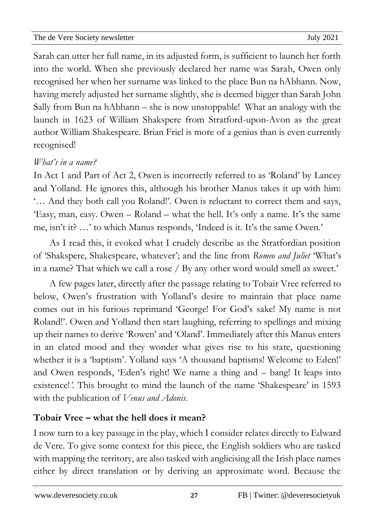02Apro Sarah can utter her full name, in its adjusted form, is sufficient to launch her forth newsletter into the world. When she previously declared her name was Sarah, Owen only recognised her when her surname was linked to the place Bun na hAbhann. Now, having merely adjusted her surname slightly, she is deemed bigger than Sarah John Sally from Bun na hAbhann – she is now unstoppable! What an analogy with the launch in 1623 of William Shakspere from Stratford-upon-Avon as the great author William Shakespeare. Brian Friel is more of a genius than is even currently recognised!

#### *What's in a name?*

In Act 1 and Part of Act 2, Owen is incorrectly referred to as 'Roland' by Lancey and Yolland. He ignores this, although his brother Manus takes it up with him: '… And they both call you Roland!'. Owen is reluctant to correct them and says, 'Easy, man, easy. Owen – Roland – what the hell. It's only a name. It's the same me, isn't it? …' to which Manus responds, 'Indeed is it. It's the same Owen.'

As I read this, it evoked what I crudely describe as the Stratfordian position of 'Shakspere, Shakespeare, whatever'; and the line from *Romeo and Juliet* 'What's in a name? That which we call a rose / By any other word would smell as sweet.'

A few pages later, directly after the passage relating to Tobair Vree referred to below, Owen's frustration with Yolland's desire to maintain that place name comes out in his furious reprimand 'George! For God's sake! My name is not Roland!'. Owen and Yolland then start laughing, referring to spellings and mixing up their names to derive 'Rowen' and 'Oland'. Immediately after this Manus enters in an elated mood and they wonder what gives rise to his state, questioning whether it is a 'baptism'. Yolland says 'A thousand baptisms! Welcome to Eden!' and Owen responds, 'Eden's right! We name a thing and – bang! It leaps into existence!*'*. This brought to mind the launch of the name 'Shakespeare' in 1593 with the publication of *Venus and Adonis*.

## **Tobair Vree – what the hell does it mean?**

I now turn to a key passage in the play, which I consider relates directly to Edward de Vere. To give some context for this piece, the English soldiers who are tasked with mapping the territory, are also tasked with anglicising all the Irish place names either by direct translation or by deriving an approximate word. Because the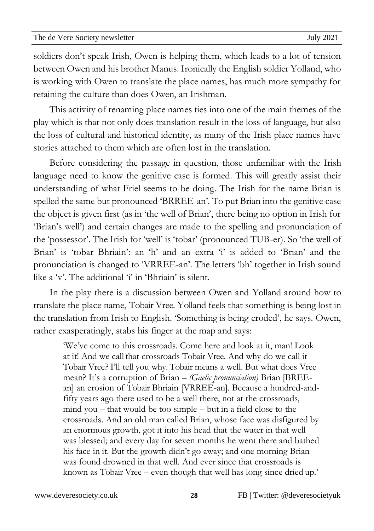02Apro soldiers don't speak Irish, Owen is helping them, which leads to a lot of tension newsletter between Owen and his brother Manus. Ironically the English soldier Yolland, who is working with Owen to translate the place names, has much more sympathy for retaining the culture than does Owen, an Irishman.

This activity of renaming place names ties into one of the main themes of the play which is that not only does translation result in the loss of language, but also the loss of cultural and historical identity, as many of the Irish place names have stories attached to them which are often lost in the translation.

Before considering the passage in question, those unfamiliar with the Irish language need to know the genitive case is formed. This will greatly assist their understanding of what Friel seems to be doing. The Irish for the name Brian is spelled the same but pronounced 'BRREE-an'. To put Brian into the genitive case the object is given first (as in 'the well of Brian', there being no option in Irish for 'Brian's well') and certain changes are made to the spelling and pronunciation of the 'possessor'. The Irish for 'well' is 'tobar' (pronounced TUB-er). So 'the well of Brian' is 'tobar Bhriain': an 'h' and an extra 'i' is added to 'Brian' and the pronunciation is changed to 'VRREE-an'. The letters 'bh' together in Irish sound like a  $\forall$ . The additional  $\hat{U}$  in 'Bhriain' is silent.

In the play there is a discussion between Owen and Yolland around how to translate the place name, Tobair Vree. Yolland feels that something is being lost in the translation from Irish to English. 'Something is being eroded', he says. Owen, rather exasperatingly, stabs his finger at the map and says:

'We've come to this crossroads. Come here and look at it, man! Look at it! And we call that crossroads Tobair Vree. And why do we call it Tobair Vree? I'll tell you why. Tobair means a well. But what does Vree mean? It's a corruption of Brian – *(Gaelic pronunciation)* Brian [BREEan] an erosion of Tobair Bhriain [VRREE-an]. Because a hundred-andfifty years ago there used to be a well there, not at the crossroads, mind you – that would be too simple – but in a field close to the crossroads. And an old man called Brian, whose face was disfigured by an enormous growth, got it into his head that the water in that well was blessed; and every day for seven months he went there and bathed his face in it. But the growth didn't go away; and one morning Brian was found drowned in that well. And ever since that crossroads is known as Tobair Vree – even though that well has long since dried up*.*'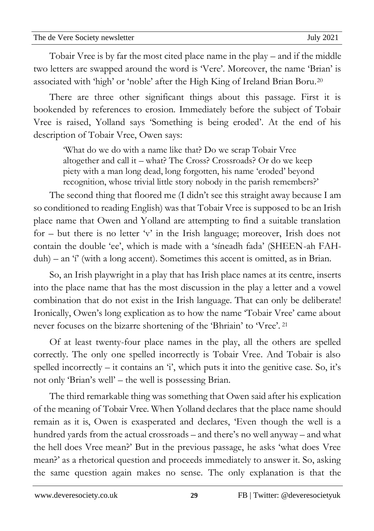02Apro Tobair Vree is by far the most cited place name in the play – and if the middle newsletter two letters are swapped around the word is 'Vere'. Moreover, the name 'Brian' is associated with 'high' or 'noble' after the High King of Ireland Brian Boru.<sup>20</sup>

There are three other significant things about this passage. First it is bookended by references to erosion. Immediately before the subject of Tobair Vree is raised, Yolland says 'Something is being eroded'. At the end of his description of Tobair Vree, Owen says:

'What do we do with a name like that? Do we scrap Tobair Vree altogether and call it – what? The Cross? Crossroads? Or do we keep piety with a man long dead, long forgotten, his name 'eroded' beyond recognition, whose trivial little story nobody in the parish remembers?'

The second thing that floored me (I didn't see this straight away because I am so conditioned to reading English) was that Tobair Vree is supposed to be an Irish place name that Owen and Yolland are attempting to find a suitable translation for – but there is no letter 'v' in the Irish language; moreover, Irish does not contain the double 'ee', which is made with a 'síneadh fada' (SHEEN-ah FAHduh) – an 'í' (with a long accent). Sometimes this accent is omitted, as in Brian.

So, an Irish playwright in a play that has Irish place names at its centre, inserts into the place name that has the most discussion in the play a letter and a vowel combination that do not exist in the Irish language. That can only be deliberate! Ironically, Owen's long explication as to how the name 'Tobair Vree' came about never focuses on the bizarre shortening of the 'Bhriain' to 'Vree'. <sup>21</sup>

Of at least twenty-four place names in the play, all the others are spelled correctly. The only one spelled incorrectly is Tobair Vree. And Tobair is also spelled incorrectly – it contains an  $\hat{Y}$ , which puts it into the genitive case. So, it's not only 'Brian's well' – the well is possessing Brian.

The third remarkable thing was something that Owen said after his explication of the meaning of Tobair Vree. When Yolland declares that the place name should remain as it is, Owen is exasperated and declares, 'Even though the well is a hundred yards from the actual crossroads – and there's no well anyway – and what the hell does Vree mean?' But in the previous passage, he asks 'what does Vree mean?' as a rhetorical question and proceeds immediately to answer it. So, asking the same question again makes no sense*.* The only explanation is that the

**29**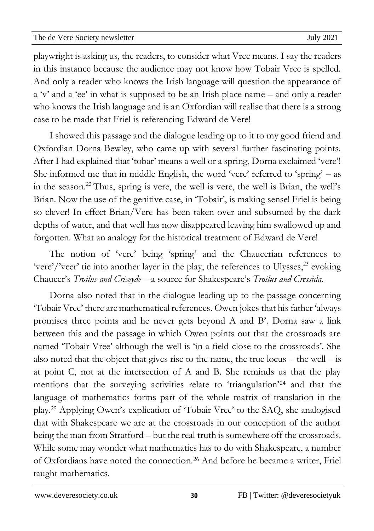02Apro playwright is asking us, the readers, to consider what Vree means. I say the readers newsletter in this instance because the audience may not know how Tobair Vree is spelled. And only a reader who knows the Irish language will question the appearance of a 'v' and a 'ee' in what is supposed to be an Irish place name – and only a reader who knows the Irish language and is an Oxfordian will realise that there is a strong case to be made that Friel is referencing Edward de Vere!

I showed this passage and the dialogue leading up to it to my good friend and Oxfordian Dorna Bewley, who came up with several further fascinating points. After I had explained that 'tobar' means a well or a spring, Dorna exclaimed 'vere'! She informed me that in middle English, the word 'vere' referred to 'spring' – as in the season.<sup>22</sup>Thus, spring is vere, the well is vere, the well is Brian, the well's Brian. Now the use of the genitive case, in 'Tobair', is making sense! Friel is being so clever! In effect Brian/Vere has been taken over and subsumed by the dark depths of water, and that well has now disappeared leaving him swallowed up and forgotten. What an analogy for the historical treatment of Edward de Vere!

The notion of 'vere' being 'spring' and the Chaucerian references to 'vere'/'veer' tie into another layer in the play, the references to Ulysses,<sup>23</sup> evoking Chaucer's *Troilus and Criseyde* – a source for Shakespeare's *Troilus and Cressida*.

Dorna also noted that in the dialogue leading up to the passage concerning 'Tobair Vree' there are mathematical references. Owen jokes that his father 'always promises three points and he never gets beyond A and B'. Dorna saw a link between this and the passage in which Owen points out that the crossroads are named 'Tobair Vree' although the well is 'in a field close to the crossroads'. She also noted that the object that gives rise to the name, the true locus  $-$  the well  $-$  is at point C, not at the intersection of A and B. She reminds us that the play mentions that the surveying activities relate to 'triangulation'<sup>24</sup> and that the language of mathematics forms part of the whole matrix of translation in the play.<sup>25</sup> Applying Owen's explication of 'Tobair Vree' to the SAQ, she analogised that with Shakespeare we are at the crossroads in our conception of the author being the man from Stratford – but the real truth is somewhere off the crossroads. While some may wonder what mathematics has to do with Shakespeare, a number of Oxfordians have noted the connection.<sup>26</sup> And before he became a writer, Friel taught mathematics.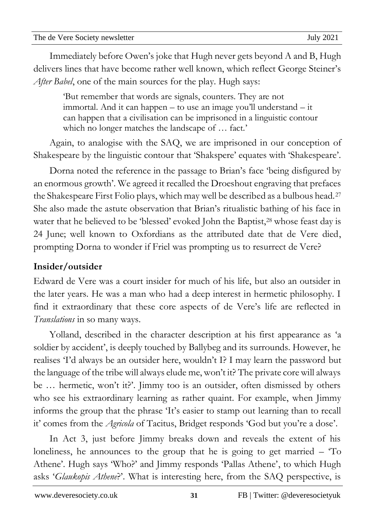| In Act $\beta$ , jus |
|----------------------|
|----------------------|

In Act 3, before Jimmy breaks down and reveals the extent of his loneliness, he announces to the group that he is going to get married – 'To Athene'. Hugh says 'Who?' and Jimmy responds 'Pallas Athene', to which Hugh asks '*Glaukopis Athene*?'. What is interesting here, from the SAQ perspective, is

**31**

#### [www.deveresociety.co.uk](http://www.deveresociety.co.uk/) 31 FB | Twitter: @deveresocietyuk

Yolland, described in the character description at his first appearance as 'a soldier by accident', is deeply touched by Ballybeg and its surrounds. However, he realises 'I'd always be an outsider here, wouldn't I? I may learn the password but the language of the tribe will always elude me, won't it? The private core will always be … hermetic, won't it?'. Jimmy too is an outsider, often dismissed by others who see his extraordinary learning as rather quaint. For example, when Jimmy informs the group that the phrase 'It's easier to stamp out learning than to recall it' comes from the *Agricola* of Tacitus, Bridget responds 'God but you're a dose'.

Edward de Vere was a court insider for much of his life, but also an outsider in the later years. He was a man who had a deep interest in hermetic philosophy. I find it extraordinary that these core aspects of de Vere's life are reflected in *Translations* in so many ways.

Dorna noted the reference in the passage to Brian's face 'being disfigured by an enormous growth'. We agreed it recalled the Droeshout engraving that prefaces the Shakespeare First Folio plays, which may well be described as a bulbous head.<sup>27</sup> She also made the astute observation that Brian's ritualistic bathing of his face in water that he believed to be 'blessed' evoked John the Baptist,<sup>28</sup> whose feast day is 24 June; well known to Oxfordians as the attributed date that de Vere died, prompting Dorna to wonder if Friel was prompting us to resurrect de Vere?

# **Insider/outsider**

can happen that a civilisation can be imprisoned in a linguistic contour which no longer matches the landscape of … fact.' Again, to analogise with the SAQ, we are imprisoned in our conception of

Shakespeare by the linguistic contour that 'Shakspere' equates with 'Shakespeare'.

Immediately before Owen's joke that Hugh never gets beyond A and B, Hugh delivers lines that have become rather well known, which reflect George Steiner's *After Babel*, one of the main sources for the play. Hugh says:

'But remember that words are signals, counters. They are not immortal. And it can happen – to use an image you'll understand – it

newsletter

02Apro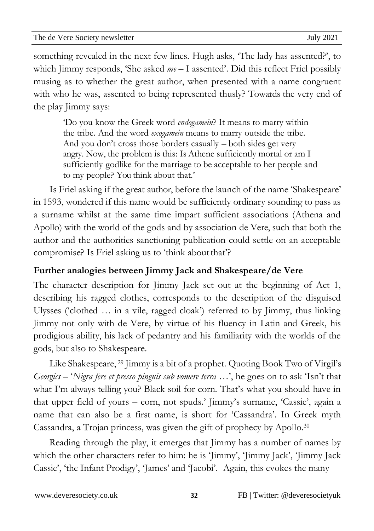02Apro something revealed in the next few lines. Hugh asks, 'The lady has assented?', to newsletter which Jimmy responds, 'She asked *me* – I assented'. Did this reflect Friel possibly musing as to whether the great author, when presented with a name congruent with who he was, assented to being represented thusly? Towards the very end of the play Jimmy says:

'Do you know the Greek word *endogamein*? It means to marry within the tribe. And the word *exogamein* means to marry outside the tribe. And you don't cross those borders casually – both sides get very angry. Now, the problem is this: Is Athene sufficiently mortal or am I sufficiently godlike for the marriage to be acceptable to her people and to my people? You think about that.'

Is Friel asking if the great author, before the launch of the name 'Shakespeare' in 1593, wondered if this name would be sufficiently ordinary sounding to pass as a surname whilst at the same time impart sufficient associations (Athena and Apollo) with the world of the gods and by association de Vere, such that both the author and the authorities sanctioning publication could settle on an acceptable compromise? Is Friel asking us to 'think about that'?

# **Further analogies between Jimmy Jack and Shakespeare/de Vere**

The character description for Jimmy Jack set out at the beginning of Act 1, describing his ragged clothes, corresponds to the description of the disguised Ulysses ('clothed … in a vile, ragged cloak') referred to by Jimmy, thus linking Jimmy not only with de Vere, by virtue of his fluency in Latin and Greek, his prodigious ability, his lack of pedantry and his familiarity with the worlds of the gods, but also to Shakespeare.

Like Shakespeare, <sup>29</sup> Jimmy is a bit of a prophet. Quoting Book Two of Virgil's *Georgics* – '*Nigra fere et presso pinguis sub vomere terra …*', he goes on to ask 'Isn't that what I'm always telling you? Black soil for corn. That's what you should have in that upper field of yours – corn, not spuds.' Jimmy's surname, 'Cassie', again a name that can also be a first name, is short for 'Cassandra'. In Greek myth Cassandra, a Trojan princess, was given the gift of prophecy by Apollo.<sup>30</sup>

Reading through the play, it emerges that Jimmy has a number of names by which the other characters refer to him: he is 'Jimmy', 'Jimmy Jack', 'Jimmy Jack' Cassie', 'the Infant Prodigy', 'James' and 'Jacobi'. Again, this evokes the many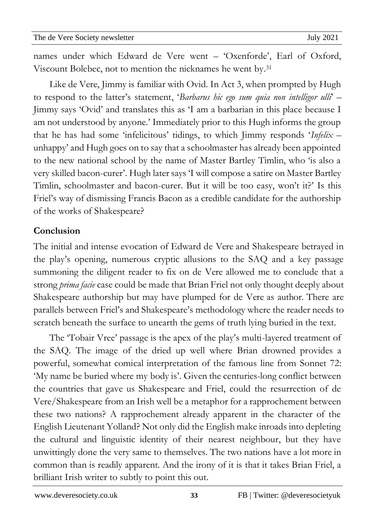02Apro names under which Edward de Vere went - 'Oxenforde', Earl of Oxford, newsletter Viscount Bolebec, not to mention the nicknames he went by. 31

Like de Vere, Jimmy is familiar with Ovid. In Act 3, when prompted by Hugh to respond to the latter's statement, '*Barbarus hic ego sum quia non intelligor ulli*' – Jimmy says 'Ovid' and translates this as 'I am a barbarian in this place because I am not understood by anyone.' Immediately prior to this Hugh informs the group that he has had some 'infelicitous' tidings, to which Jimmy responds '*Infelix* – unhappy' and Hugh goes on to say that a schoolmaster has already been appointed to the new national school by the name of Master Bartley Timlin, who 'is also a very skilled bacon-curer'. Hugh later says 'I will compose a satire on Master Bartley Timlin, schoolmaster and bacon-curer. But it will be too easy, won't it?' Is this Friel's way of dismissing Francis Bacon as a credible candidate for the authorship of the works of Shakespeare?

#### **Conclusion**

The initial and intense evocation of Edward de Vere and Shakespeare betrayed in the play's opening, numerous cryptic allusions to the SAQ and a key passage summoning the diligent reader to fix on de Vere allowed me to conclude that a strong *prima facie* case could be made that Brian Friel not only thought deeply about Shakespeare authorship but may have plumped for de Vere as author. There are parallels between Friel's and Shakespeare's methodology where the reader needs to scratch beneath the surface to unearth the gems of truth lying buried in the text.

The 'Tobair Vree' passage is the apex of the play's multi-layered treatment of the SAQ. The image of the dried up well where Brian drowned provides a powerful, somewhat comical interpretation of the famous line from Sonnet 72: 'My name be buried where my body is'. Given the centuries-long conflict between the countries that gave us Shakespeare and Friel, could the resurrection of de Vere/Shakespeare from an Irish well be a metaphor for a rapprochement between these two nations? A rapprochement already apparent in the character of the English Lieutenant Yolland? Not only did the English make inroads into depleting the cultural and linguistic identity of their nearest neighbour, but they have unwittingly done the very same to themselves. The two nations have a lot more in common than is readily apparent. And the irony of it is that it takes Brian Friel, a brilliant Irish writer to subtly to point this out.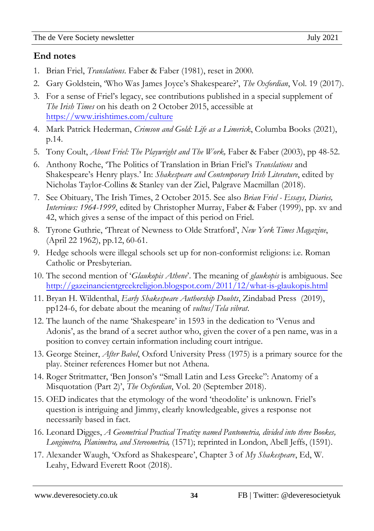02Apro

#### newsletter **End notes**

- 1. Brian Friel, *Translations*. Faber & Faber (1981), reset in 2000.
- 2. Gary Goldstein, 'Who Was James Joyce's Shakespeare?', *The Oxfordian*, Vol. 19 (2017).
- 3. For a sense of Friel's legacy, see contributions published in a special supplement of *The Irish Times* on his death on 2 October 2015, accessible at <https://www.irishtimes.com/culture>
- 4. Mark Patrick Hederman, *Crimson and Gold: Life as a Limerick*, Columba Books (2021), p.14.
- 5. Tony Coult, *About Friel: The Playwright and The Work,* Faber & Faber (2003), pp 48-52.
- 6. Anthony Roche, 'The Politics of Translation in Brian Friel's *Translations* and Shakespeare's Henry plays.' In: *Shakespeare and Contemporary Irish Literature*, edited by Nicholas Taylor-Collins & Stanley van der Ziel, Palgrave Macmillan (2018).
- 7. See Obituary, The Irish Times, 2 October 2015. See also *Brian Friel Essays, Diaries, Interviews: 1964-1999*, edited by Christopher Murray, Faber & Faber (1999), pp. xv and 42, which gives a sense of the impact of this period on Friel.
- 8. Tyrone Guthrie, 'Threat of Newness to Olde Stratford', *New York Times Magazine*, (April 22 1962), pp.12, 60-61.
- 9. Hedge schools were illegal schools set up for non-conformist religions: i.e. Roman Catholic or Presbyterian.
- 10. The second mention of '*Glaukopis Athene*'. The meaning of *glaukopis* is ambiguous. See <http://gazeinancientgreekreligion.blogspot.com/2011/12/what-is-glaukopis.html>
- 11. Bryan H. Wildenthal, *Early Shakespeare Authorship Doubts*, Zindabad Press (2019), pp124-6, for debate about the meaning of *vultus/Tela vibrat*.
- 12. The launch of the name 'Shakespeare' in 1593 in the dedication to 'Venus and Adonis', as the brand of a secret author who, given the cover of a pen name, was in a position to convey certain information including court intrigue.
- 13. George Steiner, *After Babel*, Oxford University Press (1975) is a primary source for the play. Steiner references Homer but not Athena.
- 14. Roger Stritmatter, 'Ben Jonson's "Small Latin and Less Greeke": Anatomy of a Misquotation (Part 2)', *The Oxfordian*, Vol. 20 (September 2018).
- 15. OED indicates that the etymology of the word 'theodolite' is unknown. Friel's question is intriguing and Jimmy, clearly knowledgeable, gives a response not necessarily based in fact.
- 16. Leonard Digges, *A Geometrical Practical Treatize named Pantometria, divided into three Bookes, Longimetra, Planimetra, and Stereometria,* (1571); reprinted in London, Abell Jeffs, (1591).
- 17. Alexander Waugh, 'Oxford as Shakespeare', Chapter 3 of *My Shakespeare*, Ed, W. Leahy, Edward Everett Root (2018).